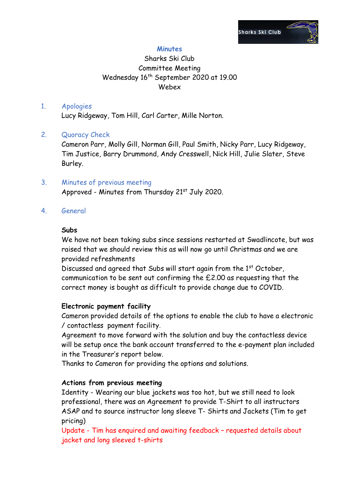

## **Minutes**

# Sharks Ski Club Committee Meeting Wednesday 16th September 2020 at 19.00 Webex

#### 1. Apologies

Lucy Ridgeway, Tom Hill, Carl Carter, Mille Norton.

### 2. Quoracy Check

Cameron Parr, Molly Gill, Norman Gill, Paul Smith, Nicky Parr, Lucy Ridgeway, Tim Justice, Barry Drummond, Andy Cresswell, Nick Hill, Julie Slater, Steve Burley.

3. Minutes of previous meeting Approved - Minutes from Thursday 21st July 2020.

### 4. General

#### **Subs**

We have not been taking subs since sessions restarted at Swadlincote, but was raised that we should review this as will now go until Christmas and we are provided refreshments

Discussed and agreed that Subs will start again from the 1<sup>st</sup> October, communication to be sent out confirming the £2.00 as requesting that the correct money is bought as difficult to provide change due to COVID.

### **Electronic payment facility**

Cameron provided details of the options to enable the club to have a electronic / contactless payment facility.

Agreement to move forward with the solution and buy the contactless device will be setup once the bank account transferred to the e-payment plan included in the Treasurer's report below.

Thanks to Cameron for providing the options and solutions.

### **Actions from previous meeting**

Identity - Wearing our blue jackets was too hot, but we still need to look professional, there was an Agreement to provide T-Shirt to all instructors ASAP and to source instructor long sleeve T- Shirts and Jackets (Tim to get pricing)

Update - Tim has enquired and awaiting feedback – requested details about jacket and long sleeved t-shirts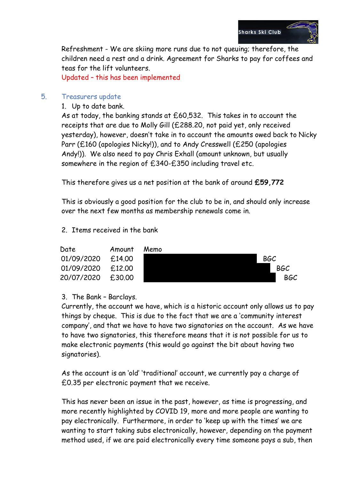

Refreshment - We are skiing more runs due to not queuing; therefore, the children need a rest and a drink. Agreement for Sharks to pay for coffees and teas for the lift volunteers.

Updated – this has been implemented

### 5. Treasurers update

1. Up to date bank.

As at today, the banking stands at £60,532. This takes in to account the receipts that are due to Molly Gill (£288.20, not paid yet, only received yesterday), however, doesn't take in to account the amounts owed back to Nicky Parr (£160 (apologies Nicky!)), and to Andy Cresswell (£250 (apologies Andy!)). We also need to pay Chris Exhall (amount unknown, but usually somewhere in the region of £340-£350 including travel etc.

This therefore gives us a net position at the bank of around **£59,772**

This is obviously a good position for the club to be in, and should only increase over the next few months as membership renewals come in.

### 2. Items received in the bank

| Date       | Amount | Memo |
|------------|--------|------|
| 01/09/2020 | £14.00 |      |
| 01/09/2020 | £12.00 |      |
| 20/07/2020 | £30.00 |      |



### 3. The Bank – Barclays.

Currently, the account we have, which is a historic account only allows us to pay things by cheque. This is due to the fact that we are a 'community interest company', and that we have to have two signatories on the account. As we have to have two signatories, this therefore means that it is not possible for us to make electronic payments (this would go against the bit about having two signatories).

As the account is an 'old' 'traditional' account, we currently pay a charge of £0.35 per electronic payment that we receive.

This has never been an issue in the past, however, as time is progressing, and more recently highlighted by COVID 19, more and more people are wanting to pay electronically. Furthermore, in order to 'keep up with the times' we are wanting to start taking subs electronically, however, depending on the payment method used, if we are paid electronically every time someone pays a sub, then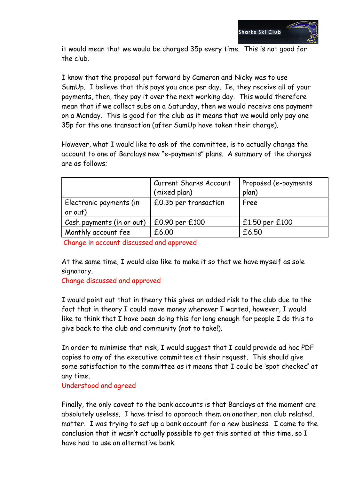

it would mean that we would be charged 35p every time. This is not good for the club.

I know that the proposal put forward by Cameron and Nicky was to use SumUp. I believe that this pays you once per day. Ie, they receive all of your payments, then, they pay it over the next working day. This would therefore mean that if we collect subs on a Saturday, then we would receive one payment on a Monday. This is good for the club as it means that we would only pay one 35p for the one transaction (after SumUp have taken their charge).

However, what I would like to ask of the committee, is to actually change the account to one of Barclays new "e-payments" plans. A summary of the charges are as follows;

|                                    | <b>Current Sharks Account</b><br>(mixed plan) | Proposed (e-payments<br>plan) |
|------------------------------------|-----------------------------------------------|-------------------------------|
| Electronic payments (in<br>or out) | £0.35 per transaction                         | Free                          |
| Cash payments (in or out)          | £0.90 per £100                                | £1.50 per £100                |
| Monthly account fee                | £6.00                                         | £6.50                         |

Change in account discussed and approved

At the same time, I would also like to make it so that we have myself as sole signatory.

Change discussed and approved

I would point out that in theory this gives an added risk to the club due to the fact that in theory I could move money wherever I wanted, however, I would like to think that I have been doing this for long enough for people I do this to give back to the club and community (not to take!).

In order to minimise that risk, I would suggest that I could provide ad hoc PDF copies to any of the executive committee at their request. This should give some satisfaction to the committee as it means that I could be 'spot checked' at any time.

Understood and agreed

Finally, the only caveat to the bank accounts is that Barclays at the moment are absolutely useless. I have tried to approach them on another, non club related, matter. I was trying to set up a bank account for a new business. I came to the conclusion that it wasn't actually possible to get this sorted at this time, so I have had to use an alternative bank.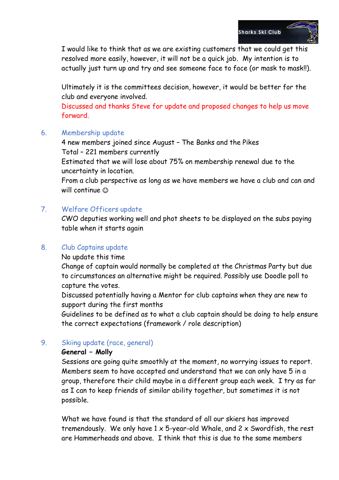

I would like to think that as we are existing customers that we could get this resolved more easily, however, it will not be a quick job. My intention is to actually just turn up and try and see someone face to face (or mask to mask!!).

Ultimately it is the committees decision, however, it would be better for the club and everyone involved.

Discussed and thanks Steve for update and proposed changes to help us move forward.

### 6. Membership update

4 new members joined since August – The Banks and the Pikes Total – 221 members currently

Estimated that we will lose about 75% on membership renewal due to the uncertainty in location.

From a club perspective as long as we have members we have a club and can and will continue  $\odot$ 

## 7. Welfare Officers update

CWO deputies working well and phot sheets to be displayed on the subs paying table when it starts again

### 8. Club Captains update

No update this time

Change of captain would normally be completed at the Christmas Party but due to circumstances an alternative might be required. Possibly use Doodle poll to capture the votes.

Discussed potentially having a Mentor for club captains when they are new to support during the first months

Guidelines to be defined as to what a club captain should be doing to help ensure the correct expectations (framework / role description)

## 9. Skiing update (race, general)

### **General – Molly**

Sessions are going quite smoothly at the moment, no worrying issues to report. Members seem to have accepted and understand that we can only have 5 in a group, therefore their child maybe in a different group each week. I try as far as I can to keep friends of similar ability together, but sometimes it is not possible.

What we have found is that the standard of all our skiers has improved tremendously. We only have 1 x 5-year-old Whale, and 2 x Swordfish, the rest are Hammerheads and above. I think that this is due to the same members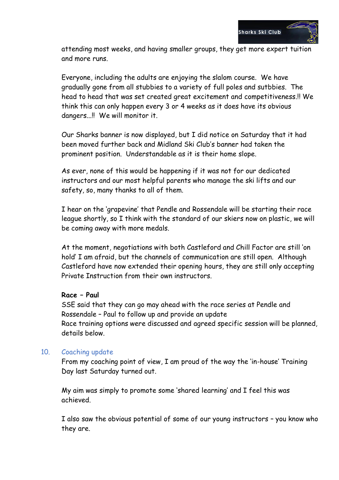

attending most weeks, and having smaller groups, they get more expert tuition and more runs.

Everyone, including the adults are enjoying the slalom course. We have gradually gone from all stubbies to a variety of full poles and sutbbies. The head to head that was set created great excitement and competitiveness.!! We think this can only happen every 3 or 4 weeks as it does have its obvious dangers...!! We will monitor it.

Our Sharks banner is now displayed, but I did notice on Saturday that it had been moved further back and Midland Ski Club's banner had taken the prominent position. Understandable as it is their home slope.

As ever, none of this would be happening if it was not for our dedicated instructors and our most helpful parents who manage the ski lifts and our safety, so, many thanks to all of them.

I hear on the 'grapevine' that Pendle and Rossendale will be starting their race league shortly, so I think with the standard of our skiers now on plastic, we will be coming away with more medals.

At the moment, negotiations with both Castleford and Chill Factor are still 'on hold' I am afraid, but the channels of communication are still open. Although Castleford have now extended their opening hours, they are still only accepting Private Instruction from their own instructors.

#### **Race – Paul**

SSE said that they can go may ahead with the race series at Pendle and Rossendale – Paul to follow up and provide an update Race training options were discussed and agreed specific session will be planned, details below.

### 10. Coaching update

From my coaching point of view, I am proud of the way the 'in-house' Training Day last Saturday turned out.

My aim was simply to promote some 'shared learning' and I feel this was achieved.

I also saw the obvious potential of some of our young instructors – you know who they are.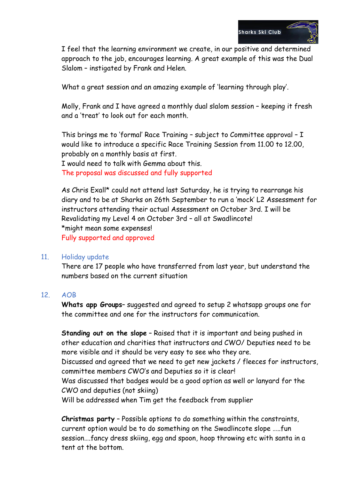

I feel that the learning environment we create, in our positive and determined approach to the job, encourages learning. A great example of this was the Dual Slalom – instigated by Frank and Helen.

What a great session and an amazing example of 'learning through play'.

Molly, Frank and I have agreed a monthly dual slalom session – keeping it fresh and a 'treat' to look out for each month.

This brings me to 'formal' Race Training – subject to Committee approval – I would like to introduce a specific Race Training Session from 11.00 to 12.00, probably on a monthly basis at first.

I would need to talk with Gemma about this.

The proposal was discussed and fully supported

As Chris Exall\* could not attend last Saturday, he is trying to rearrange his diary and to be at Sharks on 26th September to run a 'mock' L2 Assessment for instructors attending their actual Assessment on October 3rd. I will be Revalidating my Level 4 on October 3rd – all at Swadlincote! \*might mean some expenses! Fully supported and approved

### 11. Holiday update

There are 17 people who have transferred from last year, but understand the numbers based on the current situation

### 12. AOB

**Whats app Groups**– suggested and agreed to setup 2 whatsapp groups one for the committee and one for the instructors for communication.

**Standing out on the slope** – Raised that it is important and being pushed in other education and charities that instructors and CWO/ Deputies need to be more visible and it should be very easy to see who they are. Discussed and agreed that we need to get new jackets / fleeces for instructors, committee members CWO's and Deputies so it is clear! Was discussed that badges would be a good option as well or lanyard for the CWO and deputies (not skiing) Will be addressed when Tim get the feedback from supplier

**Christmas party** – Possible options to do something within the constraints, current option would be to do something on the Swadlincote slope …..fun session….fancy dress skiing, egg and spoon, hoop throwing etc with santa in a tent at the bottom.